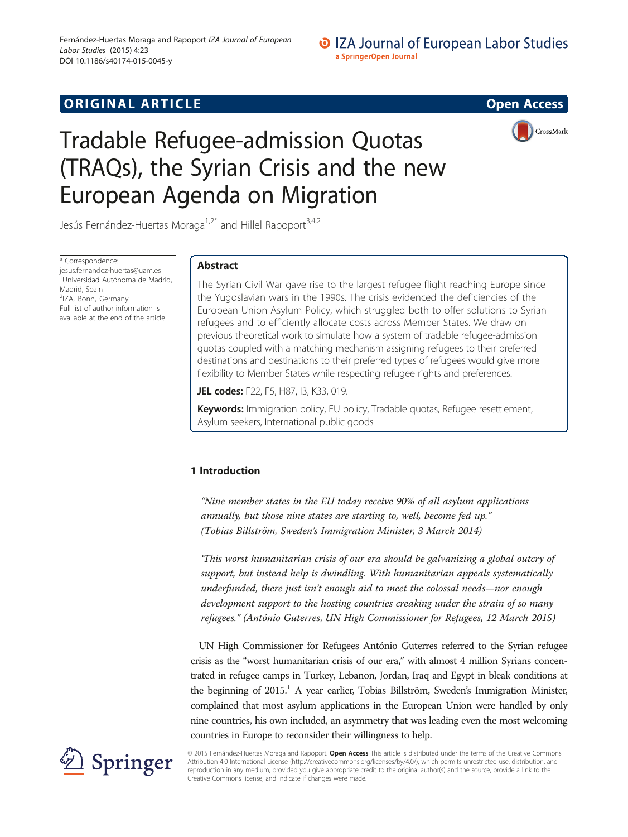# **ORIGINAL ARTICLE CONSERVANCE IN A LOCAL CONSERVANCE IN A LOCAL CONSERVANCE IN A LOCAL CONSERVANCE IN A LOCAL CONSERVANCE IN A LOCAL CONSERVANCE IN A LOCAL CONSERVANCE IN A LOCAL CONSERVANCE IN A LOCAL CONSERVANCE IN A L**



# Tradable Refugee-admission Quotas (TRAQs), the Syrian Crisis and the new European Agenda on Migration

Jesús Fernández-Huertas Moraga<sup>1,2\*</sup> and Hillel Rapoport<sup>3,4,2</sup>

\* Correspondence: [jesus.fernandez-huertas@uam.es](mailto:jesus.fernandez-huertas@uam.es) 1 Universidad Autónoma de Madrid, Madrid, Spain <sup>2</sup>IZA, Bonn, Germany Full list of author information is available at the end of the article

# Abstract

The Syrian Civil War gave rise to the largest refugee flight reaching Europe since the Yugoslavian wars in the 1990s. The crisis evidenced the deficiencies of the European Union Asylum Policy, which struggled both to offer solutions to Syrian refugees and to efficiently allocate costs across Member States. We draw on previous theoretical work to simulate how a system of tradable refugee-admission quotas coupled with a matching mechanism assigning refugees to their preferred destinations and destinations to their preferred types of refugees would give more flexibility to Member States while respecting refugee rights and preferences.

JEL codes: F22, F5, H87, I3, K33, 019.

Keywords: Immigration policy, EU policy, Tradable quotas, Refugee resettlement, Asylum seekers, International public goods

# 1 Introduction

"Nine member states in the EU today receive 90% of all asylum applications annually, but those nine states are starting to, well, become fed up." (Tobias Billström, Sweden's Immigration Minister, 3 March 2014)

'This worst humanitarian crisis of our era should be galvanizing a global outcry of support, but instead help is dwindling. With humanitarian appeals systematically underfunded, there just isn't enough aid to meet the colossal needs—nor enough development support to the hosting countries creaking under the strain of so many refugees." (António Guterres, UN High Commissioner for Refugees, 12 March 2015)

UN High Commissioner for Refugees António Guterres referred to the Syrian refugee crisis as the "worst humanitarian crisis of our era," with almost 4 million Syrians concentrated in refugee camps in Turkey, Lebanon, Jordan, Iraq and Egypt in bleak conditions at the beginning of 2015.<sup>1</sup> A year earlier, Tobias Billström, Sweden's Immigration Minister, complained that most asylum applications in the European Union were handled by only nine countries, his own included, an asymmetry that was leading even the most welcoming countries in Europe to reconsider their willingness to help.



© 2015 Fernández-Huertas Moraga and Rapoport. **Open Access** This article is distributed under the terms of the Creative Commons Attribution 4.0 International License ([http://creativecommons.org/licenses/by/4.0/\)](http://creativecommons.org/licenses/by/4.0/), which permits unrestricted use, distribution, and reproduction in any medium, provided you give appropriate credit to the original author(s) and the source, provide a link to the Creative Commons license, and indicate if changes were made.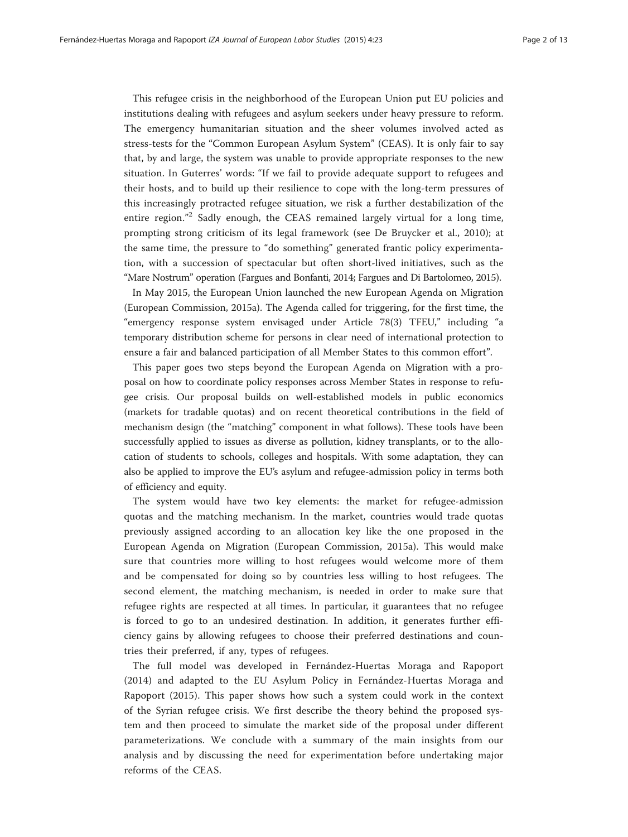This refugee crisis in the neighborhood of the European Union put EU policies and institutions dealing with refugees and asylum seekers under heavy pressure to reform. The emergency humanitarian situation and the sheer volumes involved acted as stress-tests for the "Common European Asylum System" (CEAS). It is only fair to say that, by and large, the system was unable to provide appropriate responses to the new situation. In Guterres' words: "If we fail to provide adequate support to refugees and their hosts, and to build up their resilience to cope with the long-term pressures of this increasingly protracted refugee situation, we risk a further destabilization of the entire region."<sup>2</sup> Sadly enough, the CEAS remained largely virtual for a long time, prompting strong criticism of its legal framework (see De Bruycker et al., [2010](#page-12-0)); at the same time, the pressure to "do something" generated frantic policy experimentation, with a succession of spectacular but often short-lived initiatives, such as the "Mare Nostrum" operation (Fargues and Bonfanti, [2014](#page-12-0); Fargues and Di Bartolomeo, [2015\)](#page-12-0).

In May 2015, the European Union launched the new European Agenda on Migration (European Commission, [2015a](#page-12-0)). The Agenda called for triggering, for the first time, the "emergency response system envisaged under Article 78(3) TFEU," including "a temporary distribution scheme for persons in clear need of international protection to ensure a fair and balanced participation of all Member States to this common effort".

This paper goes two steps beyond the European Agenda on Migration with a proposal on how to coordinate policy responses across Member States in response to refugee crisis. Our proposal builds on well-established models in public economics (markets for tradable quotas) and on recent theoretical contributions in the field of mechanism design (the "matching" component in what follows). These tools have been successfully applied to issues as diverse as pollution, kidney transplants, or to the allocation of students to schools, colleges and hospitals. With some adaptation, they can also be applied to improve the EU's asylum and refugee-admission policy in terms both of efficiency and equity.

The system would have two key elements: the market for refugee-admission quotas and the matching mechanism. In the market, countries would trade quotas previously assigned according to an allocation key like the one proposed in the European Agenda on Migration (European Commission, [2015a\)](#page-12-0). This would make sure that countries more willing to host refugees would welcome more of them and be compensated for doing so by countries less willing to host refugees. The second element, the matching mechanism, is needed in order to make sure that refugee rights are respected at all times. In particular, it guarantees that no refugee is forced to go to an undesired destination. In addition, it generates further efficiency gains by allowing refugees to choose their preferred destinations and countries their preferred, if any, types of refugees.

The full model was developed in Fernández-Huertas Moraga and Rapoport ([2014\)](#page-12-0) and adapted to the EU Asylum Policy in Fernández-Huertas Moraga and Rapoport [\(2015](#page-12-0)). This paper shows how such a system could work in the context of the Syrian refugee crisis. We first describe the theory behind the proposed system and then proceed to simulate the market side of the proposal under different parameterizations. We conclude with a summary of the main insights from our analysis and by discussing the need for experimentation before undertaking major reforms of the CEAS.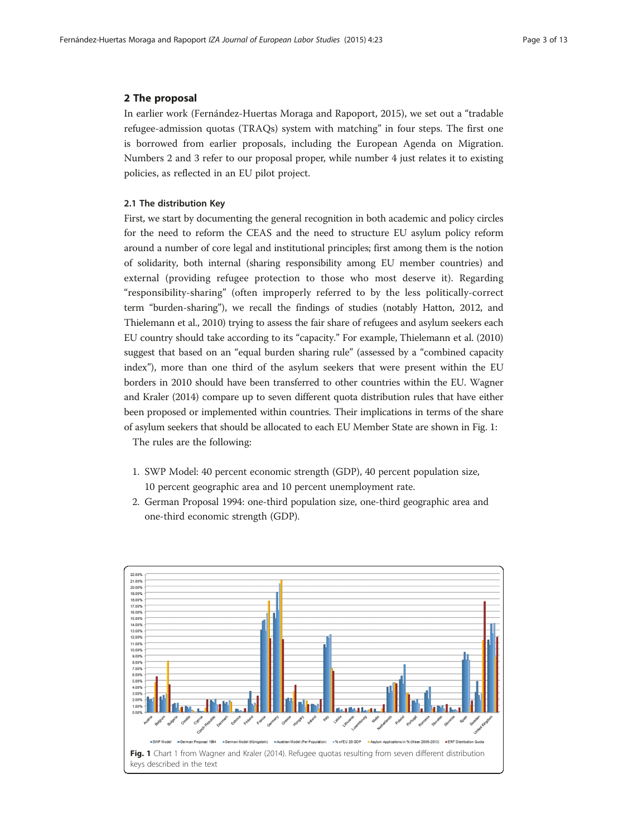#### <span id="page-2-0"></span>2 The proposal

In earlier work (Fernández-Huertas Moraga and Rapoport, [2015\)](#page-12-0), we set out a "tradable refugee-admission quotas (TRAQs) system with matching" in four steps. The first one is borrowed from earlier proposals, including the European Agenda on Migration. Numbers 2 and 3 refer to our proposal proper, while number 4 just relates it to existing policies, as reflected in an EU pilot project.

#### 2.1 The distribution Key

First, we start by documenting the general recognition in both academic and policy circles for the need to reform the CEAS and the need to structure EU asylum policy reform around a number of core legal and institutional principles; first among them is the notion of solidarity, both internal (sharing responsibility among EU member countries) and external (providing refugee protection to those who most deserve it). Regarding "responsibility-sharing" (often improperly referred to by the less politically-correct term "burden-sharing"), we recall the findings of studies (notably Hatton, [2012,](#page-12-0) and Thielemann et al., [2010](#page-12-0)) trying to assess the fair share of refugees and asylum seekers each EU country should take according to its "capacity." For example, Thielemann et al. [\(2010](#page-12-0)) suggest that based on an "equal burden sharing rule" (assessed by a "combined capacity index"), more than one third of the asylum seekers that were present within the EU borders in 2010 should have been transferred to other countries within the EU. Wagner and Kraler [\(2014\)](#page-12-0) compare up to seven different quota distribution rules that have either been proposed or implemented within countries. Their implications in terms of the share of asylum seekers that should be allocated to each EU Member State are shown in Fig. 1:

The rules are the following:

- 1. SWP Model: 40 percent economic strength (GDP), 40 percent population size, 10 percent geographic area and 10 percent unemployment rate.
- 2. German Proposal 1994: one-third population size, one-third geographic area and one-third economic strength (GDP).

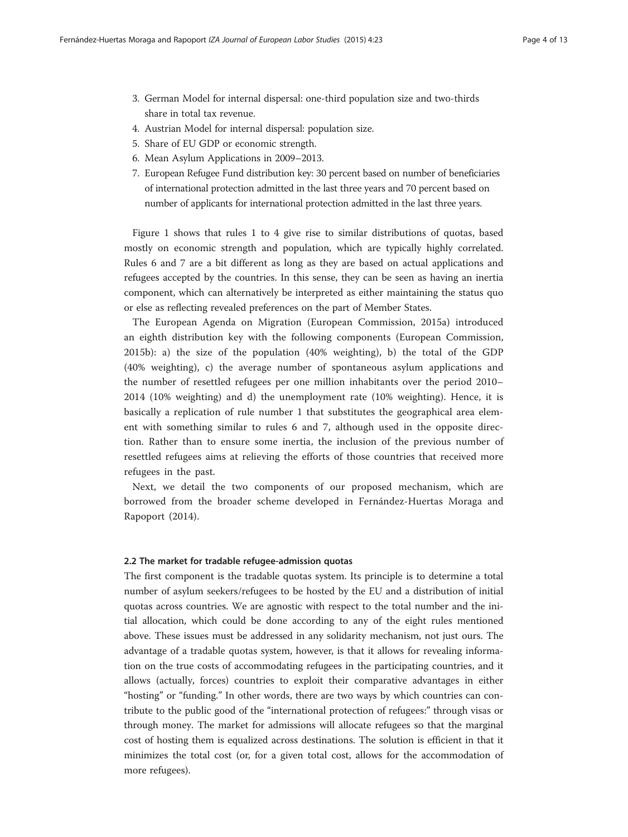- 3. German Model for internal dispersal: one-third population size and two-thirds share in total tax revenue.
- 4. Austrian Model for internal dispersal: population size.
- 5. Share of EU GDP or economic strength.
- 6. Mean Asylum Applications in 2009–2013.
- 7. European Refugee Fund distribution key: 30 percent based on number of beneficiaries of international protection admitted in the last three years and 70 percent based on number of applicants for international protection admitted in the last three years.

Figure [1](#page-2-0) shows that rules 1 to 4 give rise to similar distributions of quotas, based mostly on economic strength and population, which are typically highly correlated. Rules 6 and 7 are a bit different as long as they are based on actual applications and refugees accepted by the countries. In this sense, they can be seen as having an inertia component, which can alternatively be interpreted as either maintaining the status quo or else as reflecting revealed preferences on the part of Member States.

The European Agenda on Migration (European Commission, [2015a\)](#page-12-0) introduced an eighth distribution key with the following components (European Commission, [2015b\)](#page-12-0): a) the size of the population (40% weighting), b) the total of the GDP (40% weighting), c) the average number of spontaneous asylum applications and the number of resettled refugees per one million inhabitants over the period 2010– 2014 (10% weighting) and d) the unemployment rate (10% weighting). Hence, it is basically a replication of rule number 1 that substitutes the geographical area element with something similar to rules 6 and 7, although used in the opposite direction. Rather than to ensure some inertia, the inclusion of the previous number of resettled refugees aims at relieving the efforts of those countries that received more refugees in the past.

Next, we detail the two components of our proposed mechanism, which are borrowed from the broader scheme developed in Fernández-Huertas Moraga and Rapoport ([2014\)](#page-12-0).

#### 2.2 The market for tradable refugee-admission quotas

The first component is the tradable quotas system. Its principle is to determine a total number of asylum seekers/refugees to be hosted by the EU and a distribution of initial quotas across countries. We are agnostic with respect to the total number and the initial allocation, which could be done according to any of the eight rules mentioned above. These issues must be addressed in any solidarity mechanism, not just ours. The advantage of a tradable quotas system, however, is that it allows for revealing information on the true costs of accommodating refugees in the participating countries, and it allows (actually, forces) countries to exploit their comparative advantages in either "hosting" or "funding." In other words, there are two ways by which countries can contribute to the public good of the "international protection of refugees:" through visas or through money. The market for admissions will allocate refugees so that the marginal cost of hosting them is equalized across destinations. The solution is efficient in that it minimizes the total cost (or, for a given total cost, allows for the accommodation of more refugees).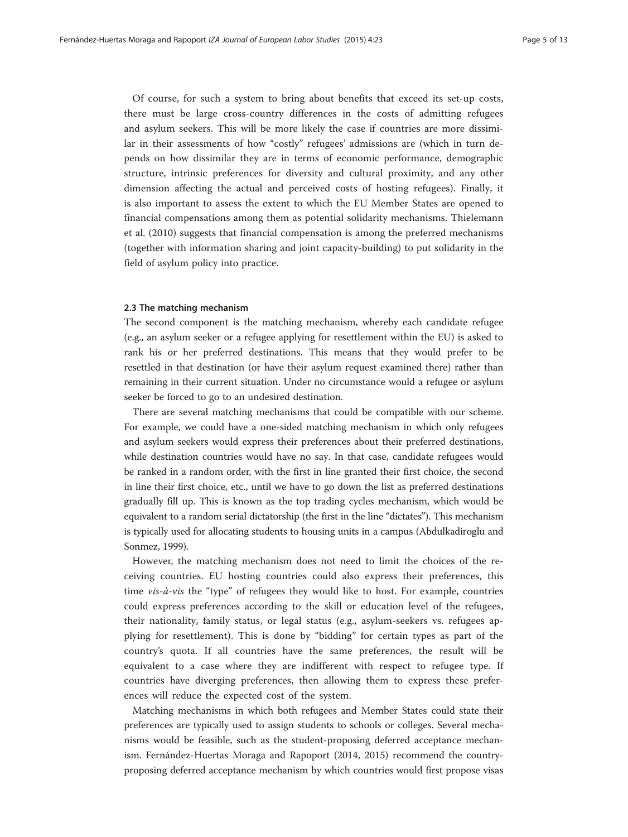Of course, for such a system to bring about benefits that exceed its set-up costs, there must be large cross-country differences in the costs of admitting refugees and asylum seekers. This will be more likely the case if countries are more dissimilar in their assessments of how "costly" refugees' admissions are (which in turn depends on how dissimilar they are in terms of economic performance, demographic structure, intrinsic preferences for diversity and cultural proximity, and any other dimension affecting the actual and perceived costs of hosting refugees). Finally, it is also important to assess the extent to which the EU Member States are opened to financial compensations among them as potential solidarity mechanisms. Thielemann et al. [\(2010](#page-12-0)) suggests that financial compensation is among the preferred mechanisms (together with information sharing and joint capacity-building) to put solidarity in the field of asylum policy into practice.

#### 2.3 The matching mechanism

The second component is the matching mechanism, whereby each candidate refugee (e.g., an asylum seeker or a refugee applying for resettlement within the EU) is asked to rank his or her preferred destinations. This means that they would prefer to be resettled in that destination (or have their asylum request examined there) rather than remaining in their current situation. Under no circumstance would a refugee or asylum seeker be forced to go to an undesired destination.

There are several matching mechanisms that could be compatible with our scheme. For example, we could have a one-sided matching mechanism in which only refugees and asylum seekers would express their preferences about their preferred destinations, while destination countries would have no say. In that case, candidate refugees would be ranked in a random order, with the first in line granted their first choice, the second in line their first choice, etc., until we have to go down the list as preferred destinations gradually fill up. This is known as the top trading cycles mechanism, which would be equivalent to a random serial dictatorship (the first in the line "dictates"). This mechanism is typically used for allocating students to housing units in a campus (Abdulkadiroglu and Sonmez, [1999\)](#page-12-0).

However, the matching mechanism does not need to limit the choices of the receiving countries. EU hosting countries could also express their preferences, this time  $vis-\dot{a}-vis$  the "type" of refugees they would like to host. For example, countries could express preferences according to the skill or education level of the refugees, their nationality, family status, or legal status (e.g., asylum-seekers vs. refugees applying for resettlement). This is done by "bidding" for certain types as part of the country's quota. If all countries have the same preferences, the result will be equivalent to a case where they are indifferent with respect to refugee type. If countries have diverging preferences, then allowing them to express these preferences will reduce the expected cost of the system.

Matching mechanisms in which both refugees and Member States could state their preferences are typically used to assign students to schools or colleges. Several mechanisms would be feasible, such as the student-proposing deferred acceptance mechanism. Fernández-Huertas Moraga and Rapoport [\(2014, 2015](#page-12-0)) recommend the countryproposing deferred acceptance mechanism by which countries would first propose visas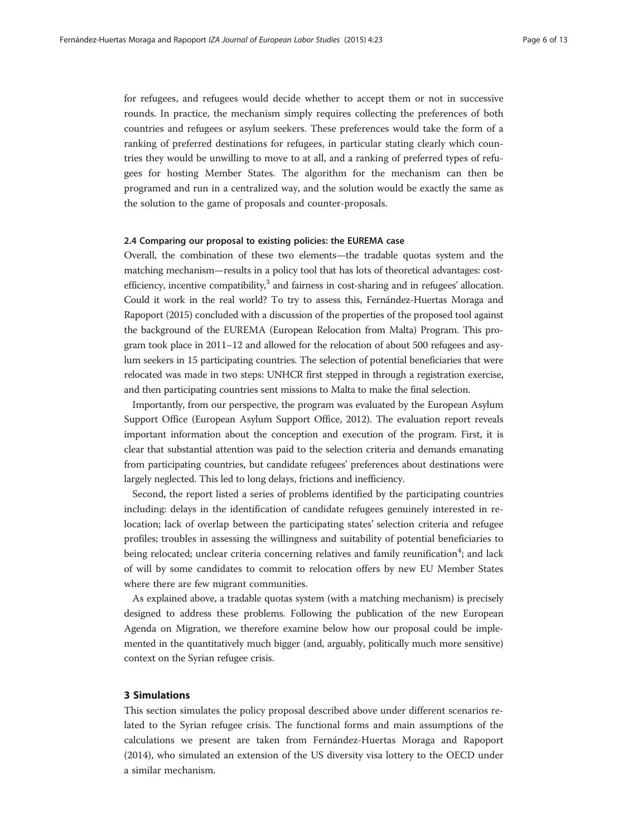for refugees, and refugees would decide whether to accept them or not in successive rounds. In practice, the mechanism simply requires collecting the preferences of both countries and refugees or asylum seekers. These preferences would take the form of a ranking of preferred destinations for refugees, in particular stating clearly which countries they would be unwilling to move to at all, and a ranking of preferred types of refugees for hosting Member States. The algorithm for the mechanism can then be programed and run in a centralized way, and the solution would be exactly the same as the solution to the game of proposals and counter-proposals.

#### 2.4 Comparing our proposal to existing policies: the EUREMA case

Overall, the combination of these two elements—the tradable quotas system and the matching mechanism—results in a policy tool that has lots of theoretical advantages: costefficiency, incentive compatibility, $3$  and fairness in cost-sharing and in refugees' allocation. Could it work in the real world? To try to assess this, Fernández-Huertas Moraga and Rapoport [\(2015\)](#page-12-0) concluded with a discussion of the properties of the proposed tool against the background of the EUREMA (European Relocation from Malta) Program. This program took place in 2011–12 and allowed for the relocation of about 500 refugees and asylum seekers in 15 participating countries. The selection of potential beneficiaries that were relocated was made in two steps: UNHCR first stepped in through a registration exercise, and then participating countries sent missions to Malta to make the final selection.

Importantly, from our perspective, the program was evaluated by the European Asylum Support Office (European Asylum Support Office, [2012\)](#page-12-0). The evaluation report reveals important information about the conception and execution of the program. First, it is clear that substantial attention was paid to the selection criteria and demands emanating from participating countries, but candidate refugees' preferences about destinations were largely neglected. This led to long delays, frictions and inefficiency.

Second, the report listed a series of problems identified by the participating countries including: delays in the identification of candidate refugees genuinely interested in relocation; lack of overlap between the participating states' selection criteria and refugee profiles; troubles in assessing the willingness and suitability of potential beneficiaries to being relocated; unclear criteria concerning relatives and family reunification<sup>4</sup>; and lack of will by some candidates to commit to relocation offers by new EU Member States where there are few migrant communities.

As explained above, a tradable quotas system (with a matching mechanism) is precisely designed to address these problems. Following the publication of the new European Agenda on Migration, we therefore examine below how our proposal could be implemented in the quantitatively much bigger (and, arguably, politically much more sensitive) context on the Syrian refugee crisis.

## 3 Simulations

This section simulates the policy proposal described above under different scenarios related to the Syrian refugee crisis. The functional forms and main assumptions of the calculations we present are taken from Fernández-Huertas Moraga and Rapoport ([2014](#page-12-0)), who simulated an extension of the US diversity visa lottery to the OECD under a similar mechanism.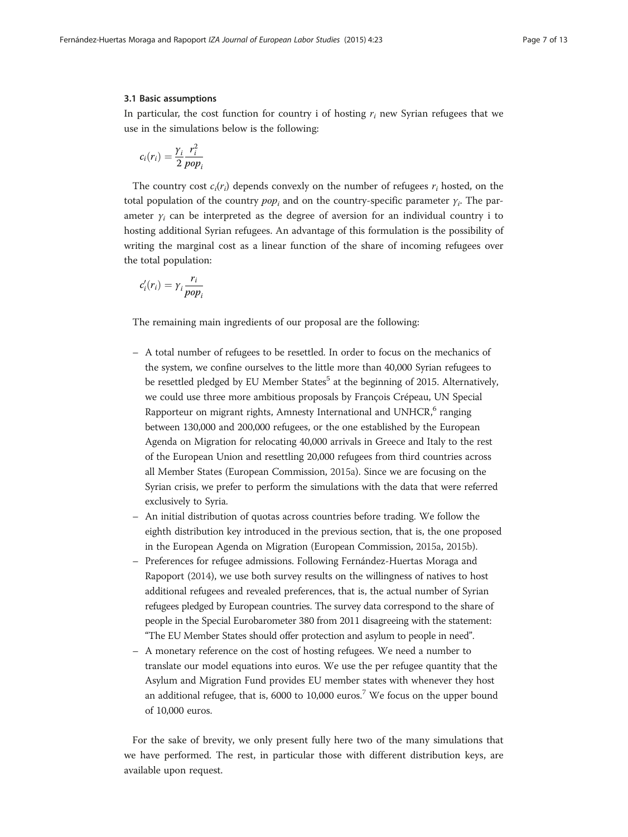#### 3.1 Basic assumptions

In particular, the cost function for country i of hosting  $r_i$  new Syrian refugees that we use in the simulations below is the following:

$$
c_i(r_i) = \frac{\gamma_i}{2} \frac{r_i^2}{pop_i}
$$

The country cost  $c_i(r_i)$  depends convexly on the number of refugees  $r_i$  hosted, on the total population of the country  $pop_i$  and on the country-specific parameter  $\gamma_i$ . The parameter  $\gamma_i$  can be interpreted as the degree of aversion for an individual country i to hosting additional Syrian refugees. An advantage of this formulation is the possibility of writing the marginal cost as a linear function of the share of incoming refugees over the total population:

$$
c_i'(r_i) = \gamma_i \frac{r_i}{pop_i}
$$

The remaining main ingredients of our proposal are the following:

- A total number of refugees to be resettled. In order to focus on the mechanics of the system, we confine ourselves to the little more than 40,000 Syrian refugees to be resettled pledged by EU Member States<sup>5</sup> at the beginning of 2015. Alternatively, we could use three more ambitious proposals by François Crépeau, UN Special Rapporteur on migrant rights, Amnesty International and UNHCR $<sup>6</sup>$  ranging</sup> between 130,000 and 200,000 refugees, or the one established by the European Agenda on Migration for relocating 40,000 arrivals in Greece and Italy to the rest of the European Union and resettling 20,000 refugees from third countries across all Member States (European Commission, [2015a](#page-12-0)). Since we are focusing on the Syrian crisis, we prefer to perform the simulations with the data that were referred exclusively to Syria.
- An initial distribution of quotas across countries before trading. We follow the eighth distribution key introduced in the previous section, that is, the one proposed in the European Agenda on Migration (European Commission, [2015a](#page-12-0), [2015b\)](#page-12-0).
- Preferences for refugee admissions. Following Fernández-Huertas Moraga and Rapoport [\(2014](#page-12-0)), we use both survey results on the willingness of natives to host additional refugees and revealed preferences, that is, the actual number of Syrian refugees pledged by European countries. The survey data correspond to the share of people in the Special Eurobarometer 380 from 2011 disagreeing with the statement: "The EU Member States should offer protection and asylum to people in need".
- A monetary reference on the cost of hosting refugees. We need a number to translate our model equations into euros. We use the per refugee quantity that the Asylum and Migration Fund provides EU member states with whenever they host an additional refugee, that is,  $6000$  to 10,000 euros.<sup>7</sup> We focus on the upper bound of 10,000 euros.

For the sake of brevity, we only present fully here two of the many simulations that we have performed. The rest, in particular those with different distribution keys, are available upon request.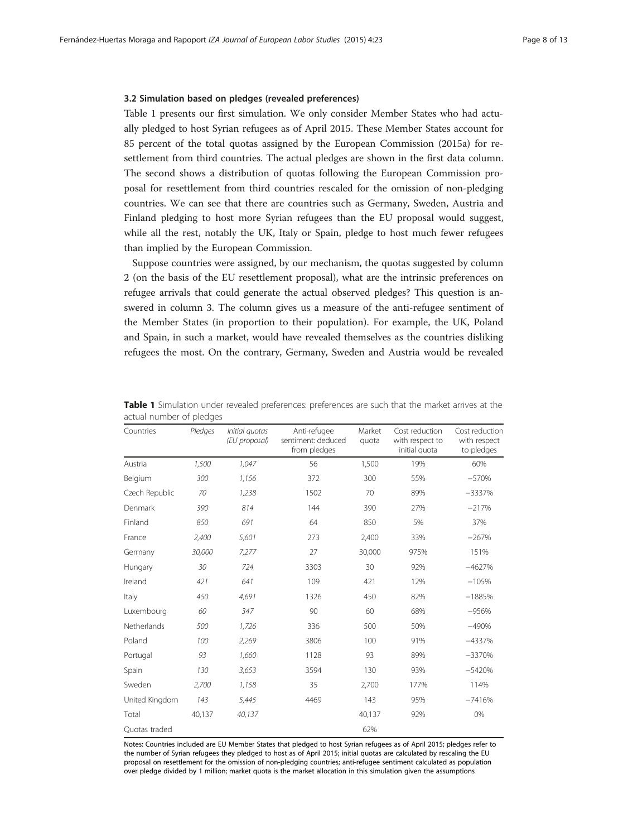#### <span id="page-7-0"></span>3.2 Simulation based on pledges (revealed preferences)

Table 1 presents our first simulation. We only consider Member States who had actually pledged to host Syrian refugees as of April 2015. These Member States account for 85 percent of the total quotas assigned by the European Commission [\(2015a](#page-12-0)) for resettlement from third countries. The actual pledges are shown in the first data column. The second shows a distribution of quotas following the European Commission proposal for resettlement from third countries rescaled for the omission of non-pledging countries. We can see that there are countries such as Germany, Sweden, Austria and Finland pledging to host more Syrian refugees than the EU proposal would suggest, while all the rest, notably the UK, Italy or Spain, pledge to host much fewer refugees than implied by the European Commission.

Suppose countries were assigned, by our mechanism, the quotas suggested by column 2 (on the basis of the EU resettlement proposal), what are the intrinsic preferences on refugee arrivals that could generate the actual observed pledges? This question is answered in column 3. The column gives us a measure of the anti-refugee sentiment of the Member States (in proportion to their population). For example, the UK, Poland and Spain, in such a market, would have revealed themselves as the countries disliking refugees the most. On the contrary, Germany, Sweden and Austria would be revealed

| Countries      | Pledges | Initial guotas<br>(EU proposal) | Anti-refugee<br>sentiment: deduced<br>from pledges | Market<br>quota | Cost reduction<br>with respect to<br>initial quota | Cost reduction<br>with respect<br>to pledges |
|----------------|---------|---------------------------------|----------------------------------------------------|-----------------|----------------------------------------------------|----------------------------------------------|
| Austria        | 1,500   | 1.047                           | 56                                                 | 1,500           | 19%                                                | 60%                                          |
| Belgium        | 300     | 1,156                           | 372                                                | 300             | 55%                                                | $-570%$                                      |
| Czech Republic | 70      | 1,238                           | 1502                                               | 70              | 89%                                                | $-3337%$                                     |
| Denmark        | 390     | 814                             | 144                                                | 390             | 27%                                                | $-217%$                                      |
| Finland        | 850     | 691                             | 64                                                 | 850             | 5%                                                 | 37%                                          |
| France         | 2,400   | 5,601                           | 273                                                | 2,400           | 33%                                                | $-267%$                                      |
| Germany        | 30,000  | 7,277                           | 27                                                 | 30,000          | 975%                                               | 151%                                         |
| Hungary        | 30      | 724                             | 3303                                               | 30              | 92%                                                | $-4627%$                                     |
| Ireland        | 421     | 641                             | 109                                                | 421             | 12%                                                | $-105%$                                      |
| Italy          | 450     | 4,691                           | 1326                                               | 450             | 82%                                                | $-1885%$                                     |
| Luxembourg     | 60      | 347                             | 90                                                 | 60              | 68%                                                | $-956%$                                      |
| Netherlands    | 500     | 1,726                           | 336                                                | 500             | 50%                                                | $-490%$                                      |
| Poland         | 100     | 2,269                           | 3806                                               | 100             | 91%                                                | $-4337%$                                     |
| Portugal       | 93      | 1,660                           | 1128                                               | 93              | 89%                                                | $-3370%$                                     |
| Spain          | 130     | 3,653                           | 3594                                               | 130             | 93%                                                | $-5420%$                                     |
| Sweden         | 2,700   | 1,158                           | 35                                                 | 2,700           | 177%                                               | 114%                                         |
| United Kingdom | 143     | 5,445                           | 4469                                               | 143             | 95%                                                | $-7416%$                                     |
| Total          | 40,137  | 40,137                          |                                                    | 40,137          | 92%                                                | 0%                                           |
| Quotas traded  |         |                                 |                                                    | 62%             |                                                    |                                              |
|                |         |                                 |                                                    |                 |                                                    |                                              |

Table 1 Simulation under revealed preferences: preferences are such that the market arrives at the actual number of pledges

Notes: Countries included are EU Member States that pledged to host Syrian refugees as of April 2015; pledges refer to the number of Syrian refugees they pledged to host as of April 2015; initial quotas are calculated by rescaling the EU proposal on resettlement for the omission of non-pledging countries; anti-refugee sentiment calculated as population over pledge divided by 1 million; market quota is the market allocation in this simulation given the assumptions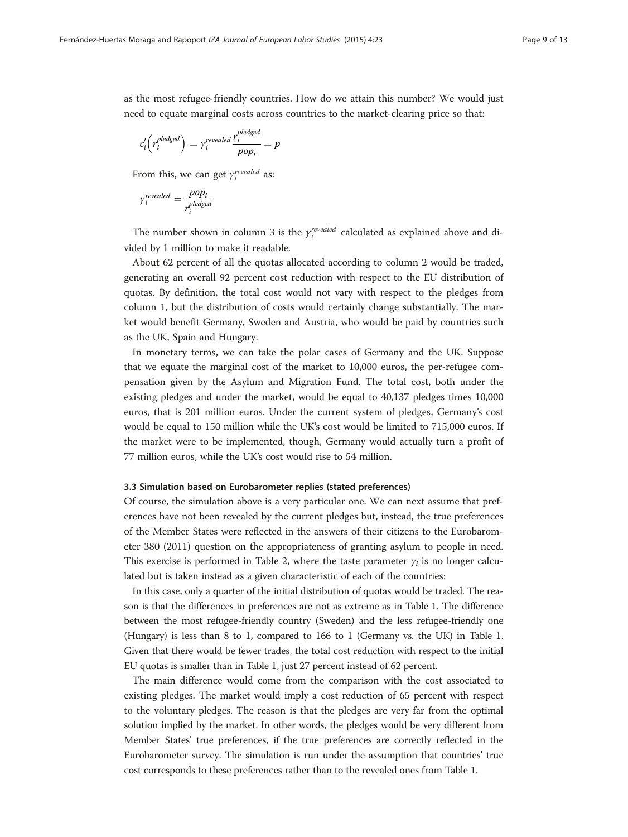as the most refugee-friendly countries. How do we attain this number? We would just need to equate marginal costs across countries to the market-clearing price so that:

$$
c'_{i}\left(r_i^{pledged}\right) = \gamma_i^{revealed} \frac{r_i^{pledged}}{pop_i} = p
$$

From this, we can get  $\gamma_i^{revaled}$  as:

$$
\gamma_i^{revealed} = \frac{pop_i}{r_i^{pledged}}
$$

The number shown in column 3 is the  $\gamma_i^{revaled}$  calculated as explained above and divided by 1 million to make it readable.

About 62 percent of all the quotas allocated according to column 2 would be traded, generating an overall 92 percent cost reduction with respect to the EU distribution of quotas. By definition, the total cost would not vary with respect to the pledges from column 1, but the distribution of costs would certainly change substantially. The market would benefit Germany, Sweden and Austria, who would be paid by countries such as the UK, Spain and Hungary.

In monetary terms, we can take the polar cases of Germany and the UK. Suppose that we equate the marginal cost of the market to 10,000 euros, the per-refugee compensation given by the Asylum and Migration Fund. The total cost, both under the existing pledges and under the market, would be equal to 40,137 pledges times 10,000 euros, that is 201 million euros. Under the current system of pledges, Germany's cost would be equal to 150 million while the UK's cost would be limited to 715,000 euros. If the market were to be implemented, though, Germany would actually turn a profit of 77 million euros, while the UK's cost would rise to 54 million.

#### 3.3 Simulation based on Eurobarometer replies (stated preferences)

Of course, the simulation above is a very particular one. We can next assume that preferences have not been revealed by the current pledges but, instead, the true preferences of the Member States were reflected in the answers of their citizens to the Eurobarometer 380 (2011) question on the appropriateness of granting asylum to people in need. This exercise is performed in Table [2,](#page-9-0) where the taste parameter  $\gamma_i$  is no longer calculated but is taken instead as a given characteristic of each of the countries:

In this case, only a quarter of the initial distribution of quotas would be traded. The reason is that the differences in preferences are not as extreme as in Table [1](#page-7-0). The difference between the most refugee-friendly country (Sweden) and the less refugee-friendly one (Hungary) is less than 8 to 1, compared to 166 to 1 (Germany vs. the UK) in Table [1](#page-7-0). Given that there would be fewer trades, the total cost reduction with respect to the initial EU quotas is smaller than in Table [1](#page-7-0), just 27 percent instead of 62 percent.

The main difference would come from the comparison with the cost associated to existing pledges. The market would imply a cost reduction of 65 percent with respect to the voluntary pledges. The reason is that the pledges are very far from the optimal solution implied by the market. In other words, the pledges would be very different from Member States' true preferences, if the true preferences are correctly reflected in the Eurobarometer survey. The simulation is run under the assumption that countries' true cost corresponds to these preferences rather than to the revealed ones from Table [1](#page-7-0).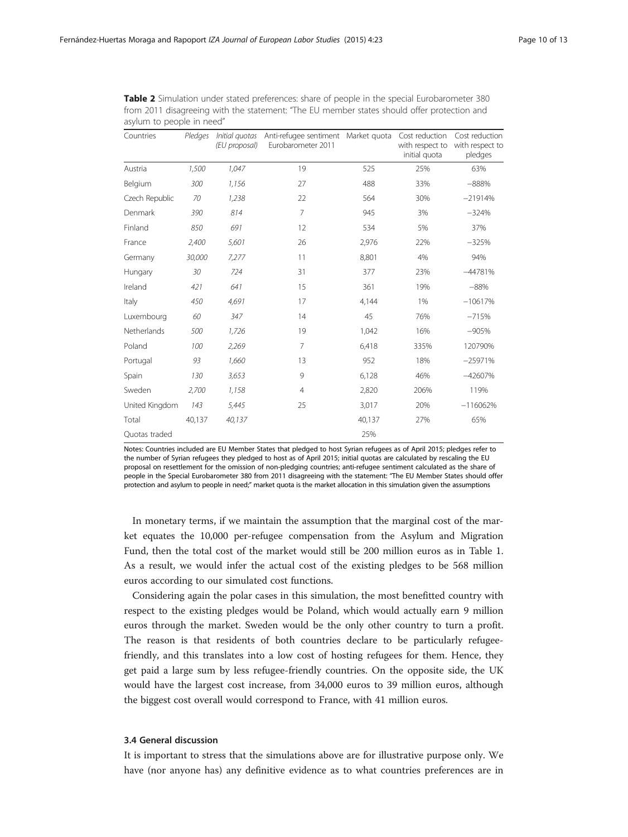| asymm to people in neca |         |                                 |                                                           |        |                                                    |                                              |
|-------------------------|---------|---------------------------------|-----------------------------------------------------------|--------|----------------------------------------------------|----------------------------------------------|
| Countries               | Pledges | Initial quotas<br>(EU proposal) | Anti-refugee sentiment Market quota<br>Eurobarometer 2011 |        | Cost reduction<br>with respect to<br>initial quota | Cost reduction<br>with respect to<br>pledges |
| Austria                 | 1,500   | 1,047                           | 19                                                        | 525    | 25%                                                | 63%                                          |
| Belgium                 | 300     | 1,156                           | 27                                                        | 488    | 33%                                                | $-888%$                                      |
| Czech Republic          | 70      | 1,238                           | 22                                                        | 564    | 30%                                                | $-21914%$                                    |
| Denmark                 | 390     | 814                             | 7                                                         | 945    | 3%                                                 | $-324%$                                      |
| Finland                 | 850     | 691                             | 12                                                        | 534    | 5%                                                 | 37%                                          |
| France                  | 2,400   | 5,601                           | 26                                                        | 2,976  | 22%                                                | $-325%$                                      |
| Germany                 | 30,000  | 7,277                           | 11                                                        | 8,801  | 4%                                                 | 94%                                          |
| Hungary                 | 30      | 724                             | 31                                                        | 377    | 23%                                                | $-44781%$                                    |
| Ireland                 | 421     | 641                             | 15                                                        | 361    | 19%                                                | $-88%$                                       |
| Italy                   | 450     | 4,691                           | 17                                                        | 4,144  | 1%                                                 | $-10617%$                                    |
| Luxembourg              | 60      | 347                             | 14                                                        | 45     | 76%                                                | $-715%$                                      |
| Netherlands             | 500     | 1,726                           | 19                                                        | 1,042  | 16%                                                | $-905%$                                      |
| Poland                  | 100     | 2,269                           | $\overline{7}$                                            | 6,418  | 335%                                               | 120790%                                      |
| Portugal                | 93      | 1,660                           | 13                                                        | 952    | 18%                                                | $-25971%$                                    |
| Spain                   | 130     | 3,653                           | 9                                                         | 6,128  | 46%                                                | $-42607%$                                    |
| Sweden                  | 2,700   | 1,158                           | $\overline{4}$                                            | 2,820  | 206%                                               | 119%                                         |
| United Kingdom          | 143     | 5,445                           | 25                                                        | 3,017  | 20%                                                | $-116062%$                                   |
| Total                   | 40,137  | 40,137                          |                                                           | 40,137 | 27%                                                | 65%                                          |
| Quotas traded           |         |                                 |                                                           | 25%    |                                                    |                                              |

<span id="page-9-0"></span>Table 2 Simulation under stated preferences: share of people in the special Eurobarometer 380 from 2011 disagreeing with the statement: "The EU member states should offer protection and asylum to people in need"

Notes: Countries included are EU Member States that pledged to host Syrian refugees as of April 2015; pledges refer to the number of Syrian refugees they pledged to host as of April 2015; initial quotas are calculated by rescaling the EU proposal on resettlement for the omission of non-pledging countries; anti-refugee sentiment calculated as the share of people in the Special Eurobarometer 380 from 2011 disagreeing with the statement: "The EU Member States should offer protection and asylum to people in need;" market quota is the market allocation in this simulation given the assumptions

In monetary terms, if we maintain the assumption that the marginal cost of the market equates the 10,000 per-refugee compensation from the Asylum and Migration Fund, then the total cost of the market would still be 200 million euros as in Table [1](#page-7-0). As a result, we would infer the actual cost of the existing pledges to be 568 million euros according to our simulated cost functions.

Considering again the polar cases in this simulation, the most benefitted country with respect to the existing pledges would be Poland, which would actually earn 9 million euros through the market. Sweden would be the only other country to turn a profit. The reason is that residents of both countries declare to be particularly refugeefriendly, and this translates into a low cost of hosting refugees for them. Hence, they get paid a large sum by less refugee-friendly countries. On the opposite side, the UK would have the largest cost increase, from 34,000 euros to 39 million euros, although the biggest cost overall would correspond to France, with 41 million euros.

#### 3.4 General discussion

It is important to stress that the simulations above are for illustrative purpose only. We have (nor anyone has) any definitive evidence as to what countries preferences are in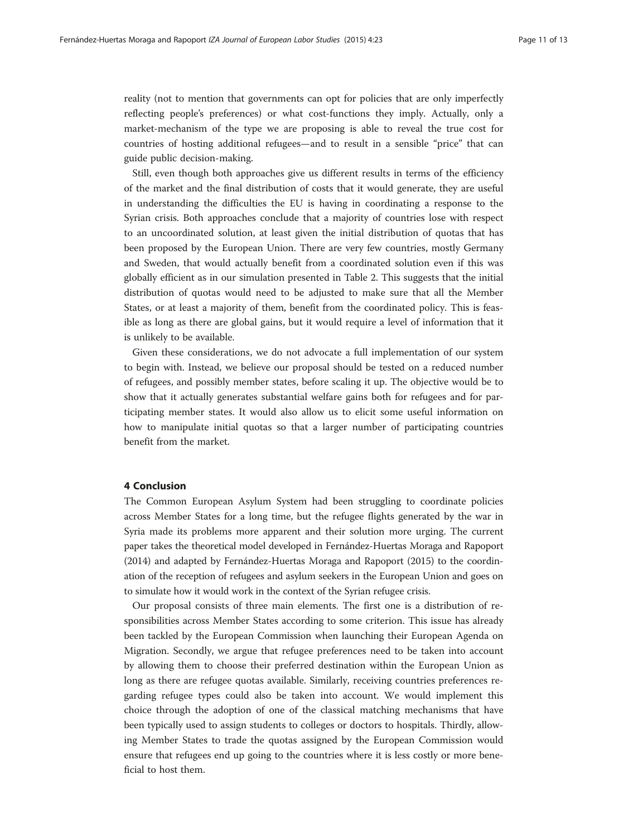reality (not to mention that governments can opt for policies that are only imperfectly reflecting people's preferences) or what cost-functions they imply. Actually, only a market-mechanism of the type we are proposing is able to reveal the true cost for countries of hosting additional refugees—and to result in a sensible "price" that can guide public decision-making.

Still, even though both approaches give us different results in terms of the efficiency of the market and the final distribution of costs that it would generate, they are useful in understanding the difficulties the EU is having in coordinating a response to the Syrian crisis. Both approaches conclude that a majority of countries lose with respect to an uncoordinated solution, at least given the initial distribution of quotas that has been proposed by the European Union. There are very few countries, mostly Germany and Sweden, that would actually benefit from a coordinated solution even if this was globally efficient as in our simulation presented in Table [2.](#page-9-0) This suggests that the initial distribution of quotas would need to be adjusted to make sure that all the Member States, or at least a majority of them, benefit from the coordinated policy. This is feasible as long as there are global gains, but it would require a level of information that it is unlikely to be available.

Given these considerations, we do not advocate a full implementation of our system to begin with. Instead, we believe our proposal should be tested on a reduced number of refugees, and possibly member states, before scaling it up. The objective would be to show that it actually generates substantial welfare gains both for refugees and for participating member states. It would also allow us to elicit some useful information on how to manipulate initial quotas so that a larger number of participating countries benefit from the market.

#### 4 Conclusion

The Common European Asylum System had been struggling to coordinate policies across Member States for a long time, but the refugee flights generated by the war in Syria made its problems more apparent and their solution more urging. The current paper takes the theoretical model developed in Fernández-Huertas Moraga and Rapoport ([2014\)](#page-12-0) and adapted by Fernández-Huertas Moraga and Rapoport [\(2015\)](#page-12-0) to the coordination of the reception of refugees and asylum seekers in the European Union and goes on to simulate how it would work in the context of the Syrian refugee crisis.

Our proposal consists of three main elements. The first one is a distribution of responsibilities across Member States according to some criterion. This issue has already been tackled by the European Commission when launching their European Agenda on Migration. Secondly, we argue that refugee preferences need to be taken into account by allowing them to choose their preferred destination within the European Union as long as there are refugee quotas available. Similarly, receiving countries preferences regarding refugee types could also be taken into account. We would implement this choice through the adoption of one of the classical matching mechanisms that have been typically used to assign students to colleges or doctors to hospitals. Thirdly, allowing Member States to trade the quotas assigned by the European Commission would ensure that refugees end up going to the countries where it is less costly or more beneficial to host them.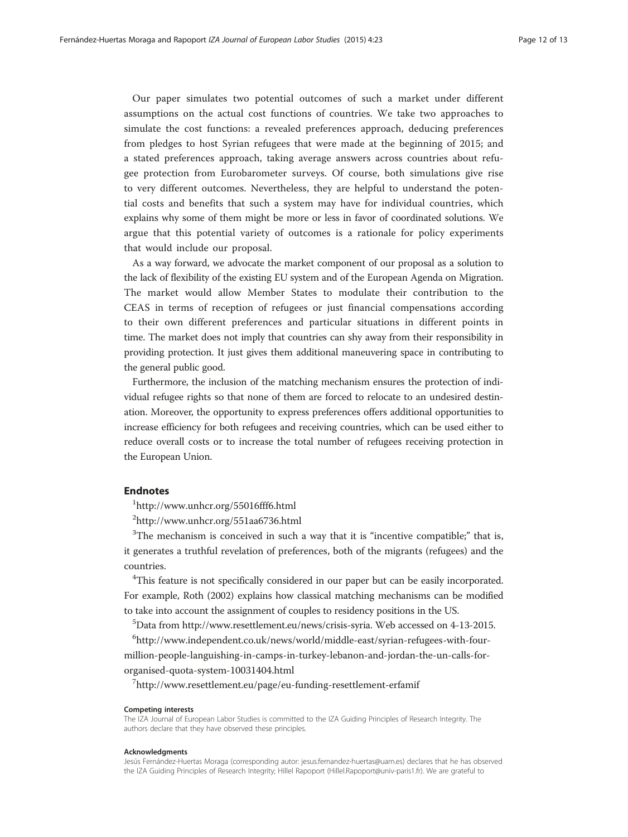Our paper simulates two potential outcomes of such a market under different assumptions on the actual cost functions of countries. We take two approaches to simulate the cost functions: a revealed preferences approach, deducing preferences from pledges to host Syrian refugees that were made at the beginning of 2015; and a stated preferences approach, taking average answers across countries about refugee protection from Eurobarometer surveys. Of course, both simulations give rise to very different outcomes. Nevertheless, they are helpful to understand the potential costs and benefits that such a system may have for individual countries, which explains why some of them might be more or less in favor of coordinated solutions. We argue that this potential variety of outcomes is a rationale for policy experiments that would include our proposal.

As a way forward, we advocate the market component of our proposal as a solution to the lack of flexibility of the existing EU system and of the European Agenda on Migration. The market would allow Member States to modulate their contribution to the CEAS in terms of reception of refugees or just financial compensations according to their own different preferences and particular situations in different points in time. The market does not imply that countries can shy away from their responsibility in providing protection. It just gives them additional maneuvering space in contributing to the general public good.

Furthermore, the inclusion of the matching mechanism ensures the protection of individual refugee rights so that none of them are forced to relocate to an undesired destination. Moreover, the opportunity to express preferences offers additional opportunities to increase efficiency for both refugees and receiving countries, which can be used either to reduce overall costs or to increase the total number of refugees receiving protection in the European Union.

### Endnotes

1 <http://www.unhcr.org/55016fff6.html>

2 <http://www.unhcr.org/551aa6736.html>

 $3$ The mechanism is conceived in such a way that it is "incentive compatible;" that is, it generates a truthful revelation of preferences, both of the migrants (refugees) and the countries.

<sup>4</sup>This feature is not specifically considered in our paper but can be easily incorporated. For example, Roth ([2002\)](#page-12-0) explains how classical matching mechanisms can be modified to take into account the assignment of couples to residency positions in the US.

5 Data from<http://www.resettlement.eu/news/crisis-syria>. Web accessed on 4-13-2015.

6 [http://www.independent.co.uk/news/world/middle-east/syrian-refugees-with-four](http://www.independent.co.uk/news/world/middle-east/syrian-refugees-with-four-million-people-languishing-in-camps-in-turkey-lebanon-and-jordan-the-un-calls-for-organised-quota-system-10031404.html)[million-people-languishing-in-camps-in-turkey-lebanon-and-jordan-the-un-calls-for](http://www.independent.co.uk/news/world/middle-east/syrian-refugees-with-four-million-people-languishing-in-camps-in-turkey-lebanon-and-jordan-the-un-calls-for-organised-quota-system-10031404.html)[organised-quota-system-10031404.html](http://www.independent.co.uk/news/world/middle-east/syrian-refugees-with-four-million-people-languishing-in-camps-in-turkey-lebanon-and-jordan-the-un-calls-for-organised-quota-system-10031404.html)

7 <http://www.resettlement.eu/page/eu-funding-resettlement-erfamif>

#### Competing interests

The IZA Journal of European Labor Studies is committed to the IZA Guiding Principles of Research Integrity. The authors declare that they have observed these principles.

#### Acknowledgments

Jesús Fernández-Huertas Moraga (corresponding autor: jesus.fernandez-huertas@uam.es) declares that he has observed the IZA Guiding Principles of Research Integrity; Hillel Rapoport (Hillel.Rapoport@univ-paris1.fr). We are grateful to